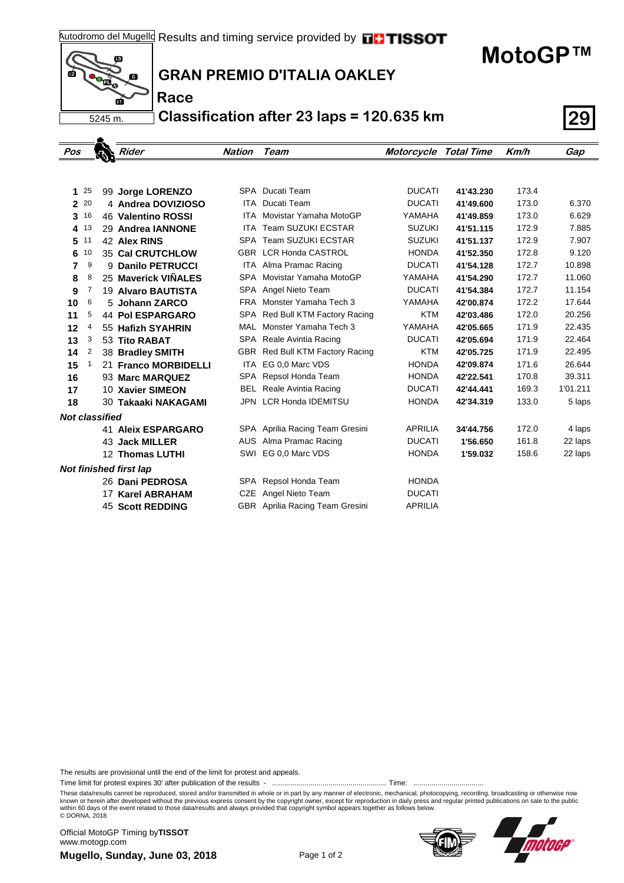## **MotoGP™**



. A.

**Race**

## **GRAN PREMIO D'ITALIA OAKLEY**

**Classification after 23 laps = 120.635 km 29**

| Pos                           |    |  | Rider                     | <b>Nation</b> | Team                            | <b>Motorcycle Total Time</b> |           | Km/h  | Gap      |
|-------------------------------|----|--|---------------------------|---------------|---------------------------------|------------------------------|-----------|-------|----------|
|                               |    |  |                           |               |                                 |                              |           |       |          |
|                               |    |  |                           |               |                                 |                              |           |       |          |
| 1                             | 25 |  | 99 Jorge LORENZO          |               | SPA Ducati Team                 | <b>DUCATI</b>                | 41'43.230 | 173.4 |          |
| $\overline{2}$                | 20 |  | 4 Andrea DOVIZIOSO        | ITA           | Ducati Team                     | <b>DUCATI</b>                | 41'49.600 | 173.0 | 6.370    |
| 3                             | 16 |  | 46 Valentino ROSSI        | <b>ITA</b>    | Movistar Yamaha MotoGP          | YAMAHA                       | 41'49.859 | 173.0 | 6.629    |
| 4                             | 13 |  | 29 Andrea IANNONE         | <b>ITA</b>    | <b>Team SUZUKI ECSTAR</b>       | <b>SUZUKI</b>                | 41'51.115 | 172.9 | 7.885    |
| 5                             | 11 |  | 42 Alex RINS              |               | SPA Team SUZUKI ECSTAR          | <b>SUZUKI</b>                | 41'51.137 | 172.9 | 7.907    |
| 6                             | 10 |  | <b>35 Cal CRUTCHLOW</b>   |               | GBR LCR Honda CASTROL           | <b>HONDA</b>                 | 41'52.350 | 172.8 | 9.120    |
| 7                             | 9  |  | 9 Danilo PETRUCCI         |               | ITA Alma Pramac Racing          | <b>DUCATI</b>                | 41'54.128 | 172.7 | 10.898   |
| 8                             | 8  |  | 25 Maverick VIÑALES       |               | SPA Movistar Yamaha MotoGP      | YAMAHA                       | 41'54.290 | 172.7 | 11.060   |
| 9                             | 7  |  | <b>19 Alvaro BAUTISTA</b> |               | SPA Angel Nieto Team            | <b>DUCATI</b>                | 41'54.384 | 172.7 | 11.154   |
| 10                            | 6  |  | 5 Johann ZARCO            |               | FRA Monster Yamaha Tech 3       | YAMAHA                       | 42'00.874 | 172.2 | 17.644   |
| 11                            | 5  |  | <b>44 Pol ESPARGARO</b>   |               | SPA Red Bull KTM Factory Racing | <b>KTM</b>                   | 42'03.486 | 172.0 | 20.256   |
| 12                            | 4  |  | 55 Hafizh SYAHRIN         |               | MAL Monster Yamaha Tech 3       | YAMAHA                       | 42'05.665 | 171.9 | 22.435   |
| 13                            | 3  |  | 53 Tito RABAT             |               | SPA Reale Avintia Racing        | <b>DUCATI</b>                | 42'05.694 | 171.9 | 22.464   |
| 14                            | 2  |  | 38 Bradley SMITH          |               | GBR Red Bull KTM Factory Racing | <b>KTM</b>                   | 42'05.725 | 171.9 | 22.495   |
| 15                            | 1  |  | 21 Franco MORBIDELLI      | ITA           | EG 0.0 Marc VDS<br><b>HONDA</b> |                              | 42'09.874 | 171.6 | 26.644   |
| 16                            |    |  | 93 Marc MARQUEZ           | SPA           | Repsol Honda Team               | <b>HONDA</b>                 | 42'22.541 | 170.8 | 39.311   |
| 17                            |    |  | 10 Xavier SIMEON          | BEL           | Reale Avintia Racing            | <b>DUCATI</b>                | 42'44.441 | 169.3 | 1'01.211 |
| 18                            |    |  | 30 Takaaki NAKAGAMI       | JPN           | <b>LCR Honda IDEMITSU</b>       | <b>HONDA</b>                 | 42'34.319 | 133.0 | 5 laps   |
| <b>Not classified</b>         |    |  |                           |               |                                 |                              |           |       |          |
|                               |    |  | <b>41 Aleix ESPARGARO</b> |               | SPA Aprilia Racing Team Gresini | <b>APRILIA</b>               | 34'44.756 | 172.0 | 4 laps   |
|                               |    |  | <b>43 Jack MILLER</b>     |               | AUS Alma Pramac Racing          | <b>DUCATI</b>                | 1'56.650  | 161.8 | 22 laps  |
|                               |    |  | 12 Thomas LUTHI           |               | SWI EG 0,0 Marc VDS             | <b>HONDA</b>                 | 1'59.032  | 158.6 | 22 laps  |
| <b>Not finished first lap</b> |    |  |                           |               |                                 |                              |           |       |          |
|                               |    |  | 26 Dani PEDROSA           |               | SPA Repsol Honda Team           | <b>HONDA</b>                 |           |       |          |
|                               |    |  | 17 Karel ABRAHAM          |               | CZE Angel Nieto Team            | <b>DUCATI</b>                |           |       |          |
|                               |    |  | <b>45 Scott REDDING</b>   |               | GBR Aprilia Racing Team Gresini | <b>APRILIA</b>               |           |       |          |

The results are provisional until the end of the limit for protest and appeals.

Time limit for protest expires 30' after publication of the results - ......................................................... Time: ...................................

These data/results cannot be reproduced, stored and/or transmitted in whole or in part by any manner of electronic, mechanical, photocopying, recording, broadcasting or otherwise now<br>known or herein after developed without within 60 days of the event related to those data/results and always provided that copyright symbol appears together as follows below. © DORNA, 2018

**Mugello, Sunday, June 03, 2018** Page 1 of 2 Official MotoGP Timing by **TISSOT**www.motogp.com